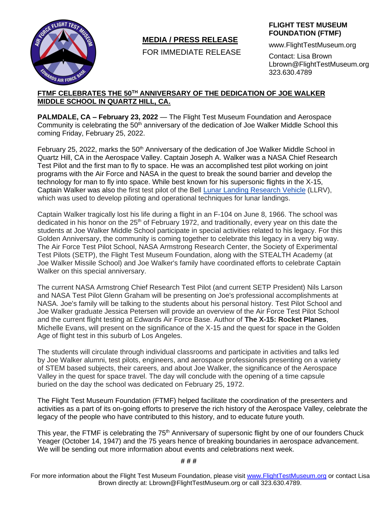

# **MEDIA / PRESS RELEASE**

FOR IMMEDIATE RELEASE

## **FLIGHT TEST MUSEUM FOUNDATION (FTMF)**

www.FlightTestMuseum.org

Contact: Lisa Brown Lbrown@FlightTestMuseum.org 323.630.4789

## **FTMF CELEBRATES THE 50TH ANNIVERSARY OF THE DEDICATION OF JOE WALKER MIDDLE SCHOOL IN QUARTZ HILL, CA.**

**PALMDALE, CA – February 23, 2022** — The Flight Test Museum Foundation and Aerospace Community is celebrating the  $50<sup>th</sup>$  anniversary of the dedication of Joe Walker Middle School this coming Friday, February 25, 2022.

February 25, 2022, marks the 50<sup>th</sup> Anniversary of the dedication of Joe Walker Middle School in Quartz Hill, CA in the Aerospace Valley. Captain Joseph A. Walker was a NASA Chief Research Test Pilot and the first man to fly to space. He was an accomplished test pilot working on joint programs with the Air Force and NASA in the quest to break the sound barrier and develop the technology for man to fly into space. While best known for his supersonic flights in the X-15, Captain Walker was also the first test pilot of the Bell [Lunar Landing Research Vehicle](https://en.wikipedia.org/wiki/Lunar_Landing_Research_Vehicle) (LLRV), which was used to develop piloting and operational techniques for lunar landings.

Captain Walker tragically lost his life during a flight in an F-104 on June 8, 1966. The school was dedicated in his honor on the 25<sup>th</sup> of February 1972, and traditionally, every year on this date the students at Joe Walker Middle School participate in special activities related to his legacy. For this Golden Anniversary, the community is coming together to celebrate this legacy in a very big way. The Air Force Test Pilot School, NASA Armstrong Research Center, the Society of Experimental Test Pilots (SETP), the Flight Test Museum Foundation, along with the STEALTH Academy (at Joe Walker Missile School) and Joe Walker's family have coordinated efforts to celebrate Captain Walker on this special anniversary.

The current NASA Armstrong Chief Research Test Pilot (and current SETP President) Nils Larson and NASA Test Pilot Glenn Graham will be presenting on Joe's professional accomplishments at NASA. Joe's family will be talking to the students about his personal history. Test Pilot School and Joe Walker graduate Jessica Petersen will provide an overview of the Air Force Test Pilot School and the current flight testing at Edwards Air Force Base. Author of **The X-15: Rocket Planes**, Michelle Evans, will present on the significance of the X-15 and the quest for space in the Golden Age of flight test in this suburb of Los Angeles.

The students will circulate through individual classrooms and participate in activities and talks led by Joe Walker alumni, test pilots, engineers, and aerospace professionals presenting on a variety of STEM based subjects, their careers, and about Joe Walker, the significance of the Aerospace Valley in the quest for space travel. The day will conclude with the opening of a time capsule buried on the day the school was dedicated on February 25, 1972.

The Flight Test Museum Foundation (FTMF) helped facilitate the coordination of the presenters and activities as a part of its on-going efforts to preserve the rich history of the Aerospace Valley, celebrate the legacy of the people who have contributed to this history, and to educate future youth.

This year, the FTMF is celebrating the 75<sup>th</sup> Anniversary of supersonic flight by one of our founders Chuck Yeager (October 14, 1947) and the 75 years hence of breaking boundaries in aerospace advancement. We will be sending out more information about events and celebrations next week.

**# # #**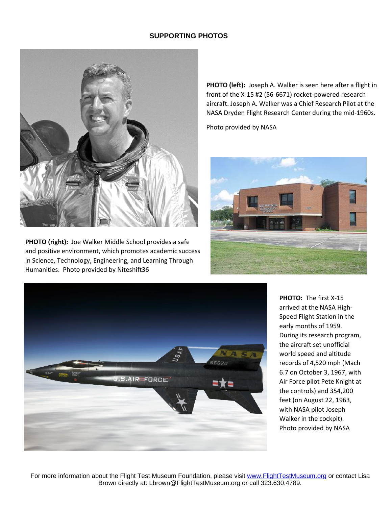### **SUPPORTING PHOTOS**



**PHOTO (right):** Joe Walker Middle School provides a safe and positive environment, which promotes academic success in Science, Technology, Engineering, and Learning Through Humanities. Photo provided by Niteshift36

**PHOTO (left):** Joseph A. Walker is seen here after a flight in front of the X-15 #2 (56-6671) rocket-powered research aircraft. Joseph A. Walker was a Chief Research Pilot at the NASA Dryden Flight Research Center during the mid-1960s.

Photo provided by NASA





**PHOTO:** The first X-15 arrived at the NASA High-Speed Flight Station in the early months of 1959. During its research program, the aircraft set unofficial world speed and altitude records of 4,520 mph (Mach 6.7 on October 3, 1967, with Air Force pilot Pete Knight at the controls) and 354,200 feet (on August 22, 1963, with NASA pilot Joseph Walker in the cockpit). Photo provided by NASA

For more information about the Flight Test Museum Foundation, please visit [www.FlightTestMuseum.org](http://www.flighttestmuseum.org/) or contact Lisa Brown directly at: Lbrown@FlightTestMuseum.org or call 323.630.4789.